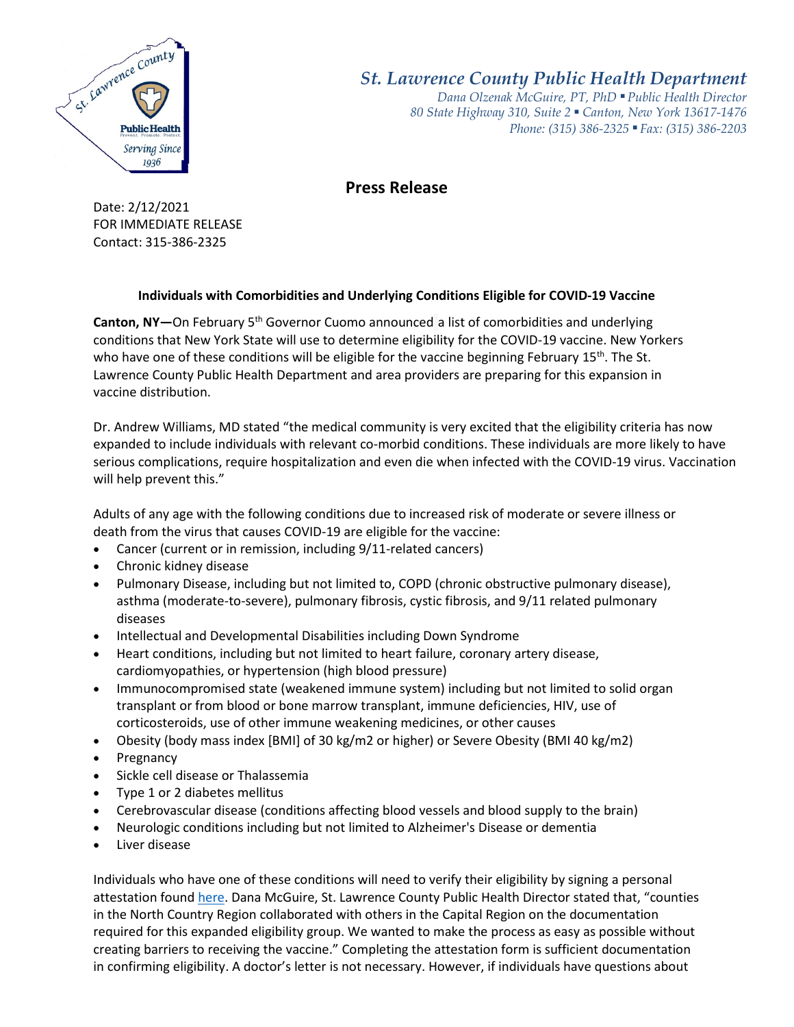

*St. Lawrence County Public Health Department*

*Dana Olzenak McGuire, PT, PhD ■ Public Health Director 80 State Highway 310, Suite 2 ■ Canton, New York 13617-1476 Phone: (315) 386-2325* ■ *Fax: (315) 386-2203*

## **Press Release**

Date: 2/12/2021 FOR IMMEDIATE RELEASE Contact: 315-386-2325

## **Individuals with Comorbidities and Underlying Conditions Eligible for COVID-19 Vaccine**

**Canton, NY—**On February 5th Governor Cuomo announced a list of comorbidities and underlying conditions that New York State will use to determine eligibility for the COVID-19 vaccine. New Yorkers who have one of these conditions will be eligible for the vaccine beginning February  $15<sup>th</sup>$ . The St. Lawrence County Public Health Department and area providers are preparing for this expansion in vaccine distribution.

Dr. Andrew Williams, MD stated "the medical community is very excited that the eligibility criteria has now expanded to include individuals with relevant co-morbid conditions. These individuals are more likely to have serious complications, require hospitalization and even die when infected with the COVID-19 virus. Vaccination will help prevent this."

Adults of any age with the following conditions due to increased risk of moderate or severe illness or death from the virus that causes COVID-19 are eligible for the vaccine:

- Cancer (current or in remission, including 9/11-related cancers)
- Chronic kidney disease
- Pulmonary Disease, including but not limited to, COPD (chronic obstructive pulmonary disease), asthma (moderate-to-severe), pulmonary fibrosis, cystic fibrosis, and 9/11 related pulmonary diseases
- Intellectual and Developmental Disabilities including Down Syndrome
- Heart conditions, including but not limited to heart failure, coronary artery disease, cardiomyopathies, or hypertension (high blood pressure)
- Immunocompromised state (weakened immune system) including but not limited to solid organ transplant or from blood or bone marrow transplant, immune deficiencies, HIV, use of corticosteroids, use of other immune weakening medicines, or other causes
- Obesity (body mass index [BMI] of 30 kg/m2 or higher) or Severe Obesity (BMI 40 kg/m2)
- Pregnancy
- Sickle cell disease or Thalassemia
- Type 1 or 2 diabetes mellitus
- Cerebrovascular disease (conditions affecting blood vessels and blood supply to the brain)
- Neurologic conditions including but not limited to Alzheimer's Disease or dementia
- Liver disease

Individuals who have one of these conditions will need to verify their eligibility by signing a personal attestation foun[d here.](https://www.stlawco.org/sites/default/files/PublicHealth/Generic%20Medical%20Attestation%20-%20NYS%20-%202-11-2021%20final_1.pdf) Dana McGuire, St. Lawrence County Public Health Director stated that, "counties in the North Country Region collaborated with others in the Capital Region on the documentation required for this expanded eligibility group. We wanted to make the process as easy as possible without creating barriers to receiving the vaccine." Completing the attestation form is sufficient documentation in confirming eligibility. A doctor's letter is not necessary. However, if individuals have questions about